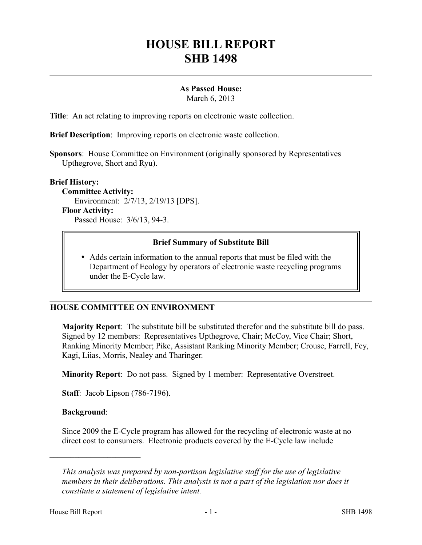# **HOUSE BILL REPORT SHB 1498**

## **As Passed House:**

March 6, 2013

**Title**: An act relating to improving reports on electronic waste collection.

**Brief Description**: Improving reports on electronic waste collection.

**Sponsors**: House Committee on Environment (originally sponsored by Representatives Upthegrove, Short and Ryu).

#### **Brief History:**

**Committee Activity:** Environment: 2/7/13, 2/19/13 [DPS]. **Floor Activity:** Passed House: 3/6/13, 94-3.

### **Brief Summary of Substitute Bill**

 Adds certain information to the annual reports that must be filed with the Department of Ecology by operators of electronic waste recycling programs under the E-Cycle law.

## **HOUSE COMMITTEE ON ENVIRONMENT**

**Majority Report**: The substitute bill be substituted therefor and the substitute bill do pass. Signed by 12 members: Representatives Upthegrove, Chair; McCoy, Vice Chair; Short, Ranking Minority Member; Pike, Assistant Ranking Minority Member; Crouse, Farrell, Fey, Kagi, Liias, Morris, Nealey and Tharinger.

**Minority Report**: Do not pass. Signed by 1 member: Representative Overstreet.

**Staff**: Jacob Lipson (786-7196).

#### **Background**:

––––––––––––––––––––––

Since 2009 the E-Cycle program has allowed for the recycling of electronic waste at no direct cost to consumers. Electronic products covered by the E-Cycle law include

*This analysis was prepared by non-partisan legislative staff for the use of legislative members in their deliberations. This analysis is not a part of the legislation nor does it constitute a statement of legislative intent.*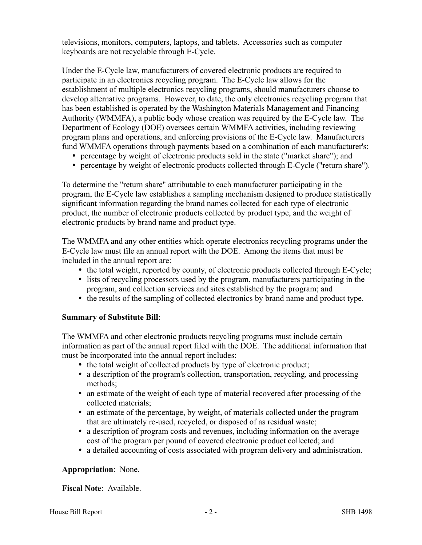televisions, monitors, computers, laptops, and tablets. Accessories such as computer keyboards are not recyclable through E-Cycle.

Under the E-Cycle law, manufacturers of covered electronic products are required to participate in an electronics recycling program. The E-Cycle law allows for the establishment of multiple electronics recycling programs, should manufacturers choose to develop alternative programs. However, to date, the only electronics recycling program that has been established is operated by the Washington Materials Management and Financing Authority (WMMFA), a public body whose creation was required by the E-Cycle law. The Department of Ecology (DOE) oversees certain WMMFA activities, including reviewing program plans and operations, and enforcing provisions of the E-Cycle law. Manufacturers fund WMMFA operations through payments based on a combination of each manufacturer's:

- percentage by weight of electronic products sold in the state ("market share"); and
- percentage by weight of electronic products collected through E-Cycle ("return share").

To determine the "return share" attributable to each manufacturer participating in the program, the E-Cycle law establishes a sampling mechanism designed to produce statistically significant information regarding the brand names collected for each type of electronic product, the number of electronic products collected by product type, and the weight of electronic products by brand name and product type.

The WMMFA and any other entities which operate electronics recycling programs under the E-Cycle law must file an annual report with the DOE. Among the items that must be included in the annual report are:

- the total weight, reported by county, of electronic products collected through E-Cycle;
- lists of recycling processors used by the program, manufacturers participating in the program, and collection services and sites established by the program; and
- the results of the sampling of collected electronics by brand name and product type.

#### **Summary of Substitute Bill**:

The WMMFA and other electronic products recycling programs must include certain information as part of the annual report filed with the DOE. The additional information that must be incorporated into the annual report includes:

- the total weight of collected products by type of electronic product;
- a description of the program's collection, transportation, recycling, and processing methods;
- an estimate of the weight of each type of material recovered after processing of the collected materials;
- an estimate of the percentage, by weight, of materials collected under the program that are ultimately re-used, recycled, or disposed of as residual waste;
- a description of program costs and revenues, including information on the average cost of the program per pound of covered electronic product collected; and
- a detailed accounting of costs associated with program delivery and administration.

## **Appropriation**: None.

#### **Fiscal Note**: Available.